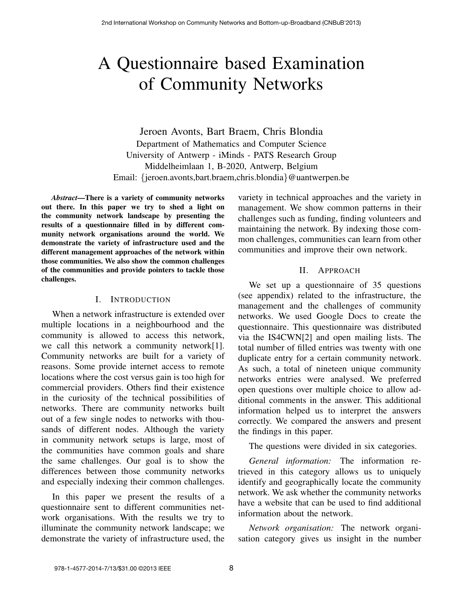# A Questionnaire based Examination of Community Networks

Jeroen Avonts, Bart Braem, Chris Blondia Department of Mathematics and Computer Science University of Antwerp - iMinds - PATS Research Group Middelheimlaan 1, B-2020, Antwerp, Belgium Email: {jeroen.avonts,bart.braem,chris.blondia}@uantwerpen.be

*Abstract*—There is a variety of community networks out there. In this paper we try to shed a light on the community network landscape by presenting the results of a questionnaire filled in by different community network organisations around the world. We demonstrate the variety of infrastructure used and the different management approaches of the network within those communities. We also show the common challenges of the communities and provide pointers to tackle those challenges.

## I. INTRODUCTION

When a network infrastructure is extended over multiple locations in a neighbourhood and the community is allowed to access this network, we call this network a community network[1]. Community networks are built for a variety of reasons. Some provide internet access to remote locations where the cost versus gain is too high for commercial providers. Others find their existence in the curiosity of the technical possibilities of networks. There are community networks built out of a few single nodes to networks with thousands of different nodes. Although the variety in community network setups is large, most of the communities have common goals and share the same challenges. Our goal is to show the differences between those community networks and especially indexing their common challenges.

In this paper we present the results of a questionnaire sent to different communities network organisations. With the results we try to illuminate the community network landscape; we demonstrate the variety of infrastructure used, the

variety in technical approaches and the variety in management. We show common patterns in their challenges such as funding, finding volunteers and maintaining the network. By indexing those common challenges, communities can learn from other communities and improve their own network.

# II. APPROACH

We set up a questionnaire of 35 questions (see appendix) related to the infrastructure, the management and the challenges of community networks. We used Google Docs to create the questionnaire. This questionnaire was distributed via the IS4CWN[2] and open mailing lists. The total number of filled entries was twenty with one duplicate entry for a certain community network. As such, a total of nineteen unique community networks entries were analysed. We preferred open questions over multiple choice to allow additional comments in the answer. This additional information helped us to interpret the answers correctly. We compared the answers and present the findings in this paper.

The questions were divided in six categories.

*General information:* The information retrieved in this category allows us to uniquely identify and geographically locate the community network. We ask whether the community networks have a website that can be used to find additional information about the network.

*Network organisation:* The network organisation category gives us insight in the number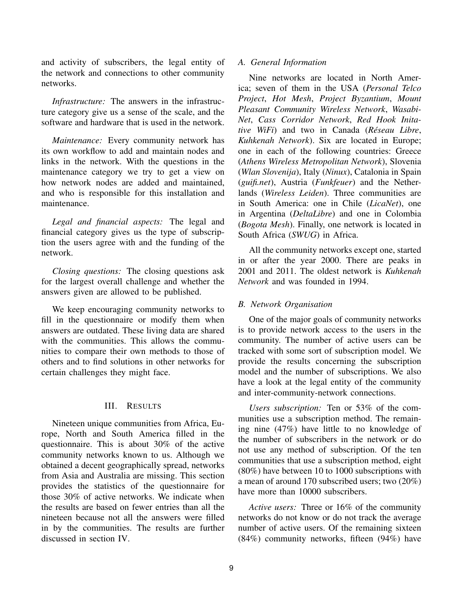and activity of subscribers, the legal entity of the network and connections to other community networks.

*Infrastructure:* The answers in the infrastructure category give us a sense of the scale, and the software and hardware that is used in the network.

*Maintenance:* Every community network has its own workflow to add and maintain nodes and links in the network. With the questions in the maintenance category we try to get a view on how network nodes are added and maintained, and who is responsible for this installation and maintenance.

*Legal and financial aspects:* The legal and financial category gives us the type of subscription the users agree with and the funding of the network.

*Closing questions:* The closing questions ask for the largest overall challenge and whether the answers given are allowed to be published.

We keep encouraging community networks to fill in the questionnaire or modify them when answers are outdated. These living data are shared with the communities. This allows the communities to compare their own methods to those of others and to find solutions in other networks for certain challenges they might face.

## III. RESULTS

Nineteen unique communities from Africa, Europe, North and South America filled in the questionnaire. This is about 30% of the active community networks known to us. Although we obtained a decent geographically spread, networks from Asia and Australia are missing. This section provides the statistics of the questionnaire for those 30% of active networks. We indicate when the results are based on fewer entries than all the nineteen because not all the answers were filled in by the communities. The results are further discussed in section IV.

# *A. General Information*

Nine networks are located in North America; seven of them in the USA (*Personal Telco Project*, *Hot Mesh*, *Project Byzantium*, *Mount Pleasant Community Wireless Network*, *Wasabi-Net*, *Cass Corridor Network*, *Red Hook Initative WiFi*) and two in Canada (*Réseau Libre*, *Kuhkenah Network*). Six are located in Europe; one in each of the following countries: Greece (*Athens Wireless Metropolitan Network*), Slovenia (*Wlan Slovenija*), Italy (*Ninux*), Catalonia in Spain (*guifi.net*), Austria (*Funkfeuer*) and the Netherlands (*Wireless Leiden*). Three communities are in South America: one in Chile (*LicaNet*), one in Argentina (*DeltaLibre*) and one in Colombia (*Bogota Mesh*). Finally, one network is located in South Africa (*SWUG*) in Africa.

All the community networks except one, started in or after the year 2000. There are peaks in 2001 and 2011. The oldest network is *Kuhkenah Network* and was founded in 1994.

# *B. Network Organisation*

One of the major goals of community networks is to provide network access to the users in the community. The number of active users can be tracked with some sort of subscription model. We provide the results concerning the subscription model and the number of subscriptions. We also have a look at the legal entity of the community and inter-community-network connections.

*Users subscription:* Ten or 53% of the communities use a subscription method. The remaining nine (47%) have little to no knowledge of the number of subscribers in the network or do not use any method of subscription. Of the ten communities that use a subscription method, eight (80%) have between 10 to 1000 subscriptions with a mean of around 170 subscribed users; two (20%) have more than 10000 subscribers.

*Active users:* Three or 16% of the community networks do not know or do not track the average number of active users. Of the remaining sixteen (84%) community networks, fifteen (94%) have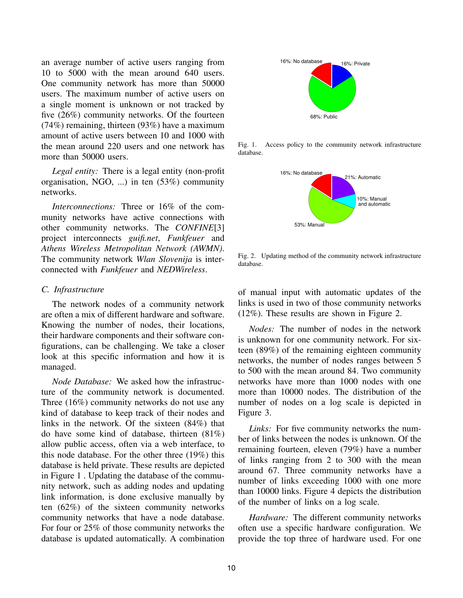an average number of active users ranging from 10 to 5000 with the mean around 640 users. One community network has more than 50000 users. The maximum number of active users on a single moment is unknown or not tracked by five (26%) community networks. Of the fourteen (74%) remaining, thirteen (93%) have a maximum amount of active users between 10 and 1000 with the mean around 220 users and one network has more than 50000 users.

*Legal entity:* There is a legal entity (non-profit organisation, NGO, ...) in ten (53%) community networks.

*Interconnections:* Three or 16% of the community networks have active connections with other community networks. The *CONFINE*[3] project interconnects *guifi.net*, *Funkfeuer* and *Athens Wireless Metropolitan Network (AWMN)*. The community network *Wlan Slovenija* is interconnected with *Funkfeuer* and *NEDWireless*.

## *C. Infrastructure*

The network nodes of a community network are often a mix of different hardware and software. Knowing the number of nodes, their locations, their hardware components and their software configurations, can be challenging. We take a closer look at this specific information and how it is managed.

*Node Database:* We asked how the infrastructure of the community network is documented. Three (16%) community networks do not use any kind of database to keep track of their nodes and links in the network. Of the sixteen (84%) that do have some kind of database, thirteen (81%) allow public access, often via a web interface, to this node database. For the other three (19%) this database is held private. These results are depicted in Figure 1 . Updating the database of the community network, such as adding nodes and updating link information, is done exclusive manually by ten (62%) of the sixteen community networks community networks that have a node database. For four or 25% of those community networks the database is updated automatically. A combination



Fig. 1. Access policy to the community network infrastructure database.



Fig. 2. Updating method of the community network infrastructure database.

of manual input with automatic updates of the links is used in two of those community networks (12%). These results are shown in Figure 2.

*Nodes:* The number of nodes in the network is unknown for one community network. For sixteen (89%) of the remaining eighteen community networks, the number of nodes ranges between 5 to 500 with the mean around 84. Two community networks have more than 1000 nodes with one more than 10000 nodes. The distribution of the number of nodes on a log scale is depicted in Figure 3.

*Links:* For five community networks the number of links between the nodes is unknown. Of the remaining fourteen, eleven (79%) have a number of links ranging from 2 to 300 with the mean around 67. Three community networks have a number of links exceeding 1000 with one more than 10000 links. Figure 4 depicts the distribution of the number of links on a log scale.

*Hardware:* The different community networks often use a specific hardware configuration. We provide the top three of hardware used. For one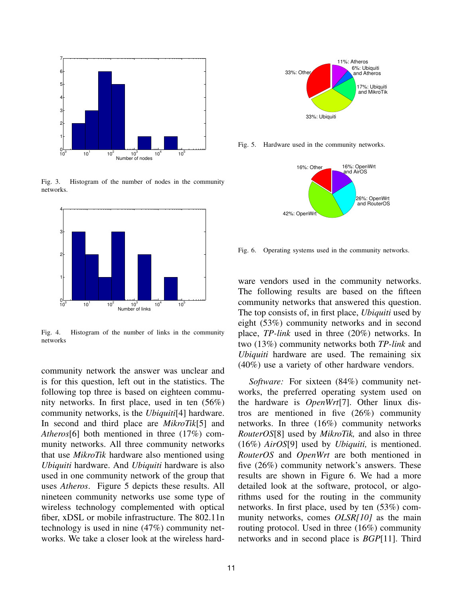

Fig. 3. Histogram of the number of nodes in the community networks.



Fig. 4. Histogram of the number of links in the community networks

community network the answer was unclear and is for this question, left out in the statistics. The following top three is based on eighteen community networks. In first place, used in ten (56%) community networks, is the *Ubiquiti*[4] hardware. In second and third place are *MikroTik*[5] and *Atheros*[6] both mentioned in three (17%) community networks. All three community networks that use *MikroTik* hardware also mentioned using *Ubiquiti* hardware. And *Ubiquiti* hardware is also used in one community network of the group that uses *Atheros*. Figure 5 depicts these results. All nineteen community networks use some type of wireless technology complemented with optical fiber, xDSL or mobile infrastructure. The 802.11n technology is used in nine (47%) community networks. We take a closer look at the wireless hard-



Fig. 5. Hardware used in the community networks.



Fig. 6. Operating systems used in the community networks.

ware vendors used in the community networks. The following results are based on the fifteen community networks that answered this question. The top consists of, in first place, *Ubiquiti* used by eight (53%) community networks and in second place, *TP-link* used in three (20%) networks. In two (13%) community networks both *TP-link* and *Ubiquiti* hardware are used. The remaining six (40%) use a variety of other hardware vendors.

*Software:* For sixteen (84%) community networks, the preferred operating system used on the hardware is *OpenWrt*[7]. Other linux distros are mentioned in five (26%) community networks. In three (16%) community networks *RouterOS*[8] used by *MikroTik,* and also in three (16%) *AirOS*[9] used by *Ubiquiti,* is mentioned. *RouterOS* and *OpenWrt* are both mentioned in five (26%) community network's answers. These results are shown in Figure 6. We had a more detailed look at the software, protocol, or algorithms used for the routing in the community networks. In first place, used by ten (53%) community networks, comes *OLSR[10]* as the main routing protocol. Used in three (16%) community networks and in second place is *BGP*[11]. Third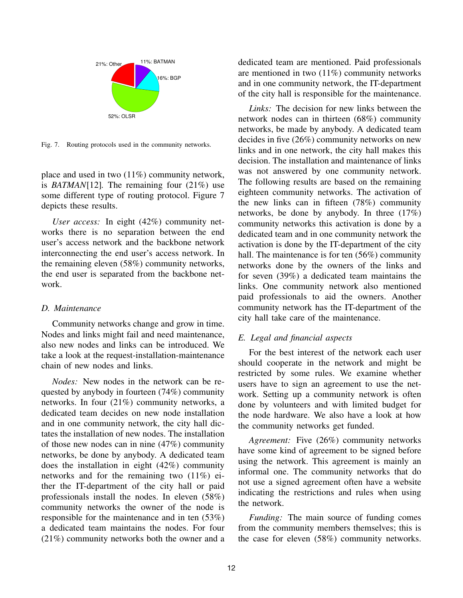

Fig. 7. Routing protocols used in the community networks.

place and used in two (11%) community network, is *BATMAN*[12]*.* The remaining four (21%) use some different type of routing protocol. Figure 7 depicts these results.

*User access:* In eight (42%) community networks there is no separation between the end user's access network and the backbone network interconnecting the end user's access network. In the remaining eleven (58%) community networks, the end user is separated from the backbone network.

### *D. Maintenance*

Community networks change and grow in time. Nodes and links might fail and need maintenance, also new nodes and links can be introduced. We take a look at the request-installation-maintenance chain of new nodes and links.

*Nodes:* New nodes in the network can be requested by anybody in fourteen (74%) community networks. In four (21%) community networks, a dedicated team decides on new node installation and in one community network, the city hall dictates the installation of new nodes. The installation of those new nodes can in nine (47%) community networks, be done by anybody. A dedicated team does the installation in eight (42%) community networks and for the remaining two (11%) either the IT-department of the city hall or paid professionals install the nodes. In eleven (58%) community networks the owner of the node is responsible for the maintenance and in ten (53%) a dedicated team maintains the nodes. For four (21%) community networks both the owner and a dedicated team are mentioned. Paid professionals are mentioned in two (11%) community networks and in one community network, the IT-department of the city hall is responsible for the maintenance.

*Links:* The decision for new links between the network nodes can in thirteen (68%) community networks, be made by anybody. A dedicated team decides in five (26%) community networks on new links and in one network, the city hall makes this decision. The installation and maintenance of links was not answered by one community network. The following results are based on the remaining eighteen community networks. The activation of the new links can in fifteen (78%) community networks, be done by anybody. In three (17%) community networks this activation is done by a dedicated team and in one community network the activation is done by the IT-department of the city hall. The maintenance is for ten (56%) community networks done by the owners of the links and for seven (39%) a dedicated team maintains the links. One community network also mentioned paid professionals to aid the owners. Another community network has the IT-department of the city hall take care of the maintenance.

# *E. Legal and financial aspects*

For the best interest of the network each user should cooperate in the network and might be restricted by some rules. We examine whether users have to sign an agreement to use the network. Setting up a community network is often done by volunteers and with limited budget for the node hardware. We also have a look at how the community networks get funded.

*Agreement:* Five (26%) community networks have some kind of agreement to be signed before using the network. This agreement is mainly an informal one. The community networks that do not use a signed agreement often have a website indicating the restrictions and rules when using the network.

*Funding:* The main source of funding comes from the community members themselves; this is the case for eleven (58%) community networks.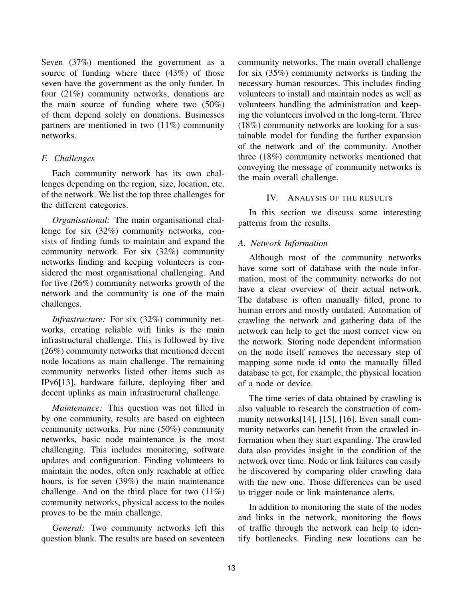Seven (37%) mentioned the government as a source of funding where three (43%) of those seven have the government as the only funder. In four (21%) community networks, donations are the main source of funding where two (50%) of them depend solely on donations. Businesses partners are mentioned in two (11%) community networks.

# *F. Challenges*

Each community network has its own challenges depending on the region, size, location, etc. of the network. We list the top three challenges for the different categories.

*Organisational:* The main organisational challenge for six (32%) community networks, consists of finding funds to maintain and expand the community network. For six (32%) community networks finding and keeping volunteers is considered the most organisational challenging. And for five (26%) community networks growth of the network and the community is one of the main challenges.

*Infrastructure:* For six (32%) community networks, creating reliable wifi links is the main infrastructural challenge. This is followed by five (26%) community networks that mentioned decent node locations as main challenge. The remaining community networks listed other items such as IPv6[13], hardware failure, deploying fiber and decent uplinks as main infrastructural challenge.

*Maintenance:* This question was not filled in by one community, results are based on eighteen community networks. For nine (50%) community networks, basic node maintenance is the most challenging. This includes monitoring, software updates and configuration. Finding volunteers to maintain the nodes, often only reachable at office hours, is for seven (39%) the main maintenance challenge. And on the third place for two  $(11\%)$ community networks, physical access to the nodes proves to be the main challenge.

*General:* Two community networks left this question blank. The results are based on seventeen community networks. The main overall challenge for six (35%) community networks is finding the necessary human resources. This includes finding volunteers to install and maintain nodes as well as volunteers handling the administration and keeping the volunteers involved in the long-term. Three (18%) community networks are looking for a sustainable model for funding the further expansion of the network and of the community. Another three (18%) community networks mentioned that conveying the message of community networks is the main overall challenge.

# IV. ANALYSIS OF THE RESULTS

In this section we discuss some interesting patterns from the results.

# *A. Network Information*

Although most of the community networks have some sort of database with the node information, most of the community networks do not have a clear overview of their actual network. The database is often manually filled, prone to human errors and mostly outdated. Automation of crawling the network and gathering data of the network can help to get the most correct view on the network. Storing node dependent information on the node itself removes the necessary step of mapping some node id onto the manually filled database to get, for example, the physical location of a node or device.

The time series of data obtained by crawling is also valuable to research the construction of community networks[14], [15], [16]. Even small community networks can benefit from the crawled information when they start expanding. The crawled data also provides insight in the condition of the network over time. Node or link failures can easily be discovered by comparing older crawling data with the new one. Those differences can be used to trigger node or link maintenance alerts.

In addition to monitoring the state of the nodes and links in the network, monitoring the flows of traffic through the network can help to identify bottlenecks. Finding new locations can be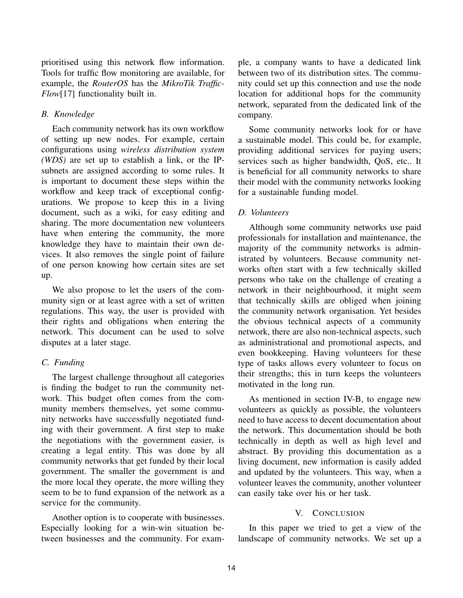prioritised using this network flow information. Tools for traffic flow monitoring are available, for example, the *RouterOS* has the *MikroTik Traffic-Flow*[17] functionality built in.

# *B. Knowledge*

Each community network has its own workflow of setting up new nodes. For example, certain configurations using *wireless distribution system (WDS)* are set up to establish a link, or the IPsubnets are assigned according to some rules. It is important to document these steps within the workflow and keep track of exceptional configurations. We propose to keep this in a living document, such as a wiki, for easy editing and sharing. The more documentation new volunteers have when entering the community, the more knowledge they have to maintain their own devices. It also removes the single point of failure of one person knowing how certain sites are set up.

We also propose to let the users of the community sign or at least agree with a set of written regulations. This way, the user is provided with their rights and obligations when entering the network. This document can be used to solve disputes at a later stage.

# *C. Funding*

The largest challenge throughout all categories is finding the budget to run the community network. This budget often comes from the community members themselves, yet some community networks have successfully negotiated funding with their government. A first step to make the negotiations with the government easier, is creating a legal entity. This was done by all community networks that get funded by their local government. The smaller the government is and the more local they operate, the more willing they seem to be to fund expansion of the network as a service for the community.

Another option is to cooperate with businesses. Especially looking for a win-win situation between businesses and the community. For example, a company wants to have a dedicated link between two of its distribution sites. The community could set up this connection and use the node location for additional hops for the community network, separated from the dedicated link of the company.

Some community networks look for or have a sustainable model. This could be, for example, providing additional services for paying users; services such as higher bandwidth, QoS, etc.. It is beneficial for all community networks to share their model with the community networks looking for a sustainable funding model.

# *D. Volunteers*

Although some community networks use paid professionals for installation and maintenance, the majority of the community networks is administrated by volunteers. Because community networks often start with a few technically skilled persons who take on the challenge of creating a network in their neighbourhood, it might seem that technically skills are obliged when joining the community network organisation. Yet besides the obvious technical aspects of a community network, there are also non-technical aspects, such as administrational and promotional aspects, and even bookkeeping. Having volunteers for these type of tasks allows every volunteer to focus on their strengths; this in turn keeps the volunteers motivated in the long run.

As mentioned in section IV-B, to engage new volunteers as quickly as possible, the volunteers need to have access to decent documentation about the network. This documentation should be both technically in depth as well as high level and abstract. By providing this documentation as a living document, new information is easily added and updated by the volunteers. This way, when a volunteer leaves the community, another volunteer can easily take over his or her task.

# V. CONCLUSION

In this paper we tried to get a view of the landscape of community networks. We set up a